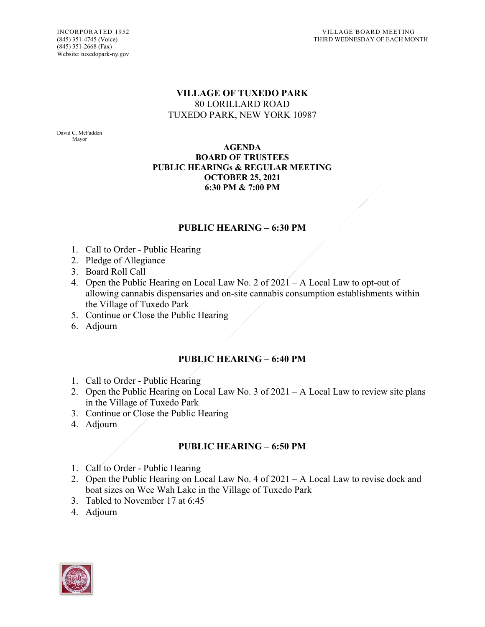### **VILLAGE OF TUXEDO PARK** 80 LORILLARD ROAD TUXEDO PARK, NEW YORK 10987

David C. McFadden Mayor

#### **AGENDA BOARD OF TRUSTEES PUBLIC HEARINGs & REGULAR MEETING OCTOBER 25, 2021 6:30 PM & 7:00 PM**

### **PUBLIC HEARING – 6:30 PM**

- 1. Call to Order Public Hearing
- 2. Pledge of Allegiance
- 3. Board Roll Call
- 4. Open the Public Hearing on Local Law No. 2 of 2021 A Local Law to opt-out of allowing cannabis dispensaries and on-site cannabis consumption establishments within the Village of Tuxedo Park
- 5. Continue or Close the Public Hearing
- 6. Adjourn

# **PUBLIC HEARING – 6:40 PM**

- 1. Call to Order Public Hearing
- 2. Open the Public Hearing on Local Law No. 3 of 2021 A Local Law to review site plans in the Village of Tuxedo Park
- 3. Continue or Close the Public Hearing
- 4. Adjourn

# **PUBLIC HEARING – 6:50 PM**

- 1. Call to Order Public Hearing
- 2. Open the Public Hearing on Local Law No. 4 of 2021 A Local Law to revise dock and boat sizes on Wee Wah Lake in the Village of Tuxedo Park
- 3. Tabled to November 17 at 6:45
- 4. Adjourn

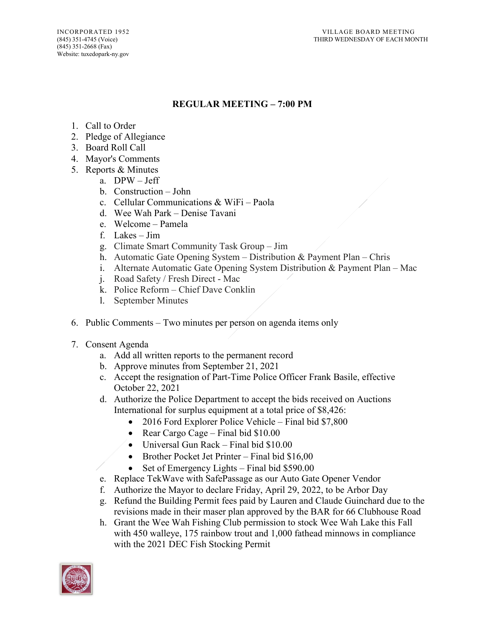(845) 351-2668 (Fax) Website: tuxedopark-ny.gov

# **REGULAR MEETING – 7:00 PM**

- 1. Call to Order
- 2. Pledge of Allegiance
- 3. Board Roll Call
- 4. Mayor's Comments
- 5. Reports & Minutes
	- a. DPW Jeff
	- b. Construction John
	- c. Cellular Communications & WiFi Paola
	- d. Wee Wah Park Denise Tavani
	- e. Welcome Pamela
	- f. Lakes Jim
	- g. Climate Smart Community Task Group Jim
	- h. Automatic Gate Opening System Distribution & Payment Plan Chris
	- i. Alternate Automatic Gate Opening System Distribution & Payment Plan Mac
	- j. Road Safety / Fresh Direct Mac
	- k. Police Reform Chief Dave Conklin
	- l. September Minutes
- 6. Public Comments Two minutes per person on agenda items only
- 7. Consent Agenda
	- a. Add all written reports to the permanent record
	- b. Approve minutes from September 21, 2021
	- c. Accept the resignation of Part-Time Police Officer Frank Basile, effective October 22, 2021
	- d. Authorize the Police Department to accept the bids received on Auctions International for surplus equipment at a total price of \$8,426:
		- 2016 Ford Explorer Police Vehicle Final bid \$7,800
		- Rear Cargo Cage Final bid \$10.00
		- Universal Gun Rack Final bid \$10.00
		- Brother Pocket Jet Printer Final bid \$16,00
		- Set of Emergency Lights Final bid \$590.00
	- e. Replace TekWave with SafePassage as our Auto Gate Opener Vendor
	- f. Authorize the Mayor to declare Friday, April 29, 2022, to be Arbor Day
	- g. Refund the Building Permit fees paid by Lauren and Claude Guinchard due to the revisions made in their maser plan approved by the BAR for 66 Clubhouse Road
	- h. Grant the Wee Wah Fishing Club permission to stock Wee Wah Lake this Fall with 450 walleye, 175 rainbow trout and 1,000 fathead minnows in compliance with the 2021 DEC Fish Stocking Permit